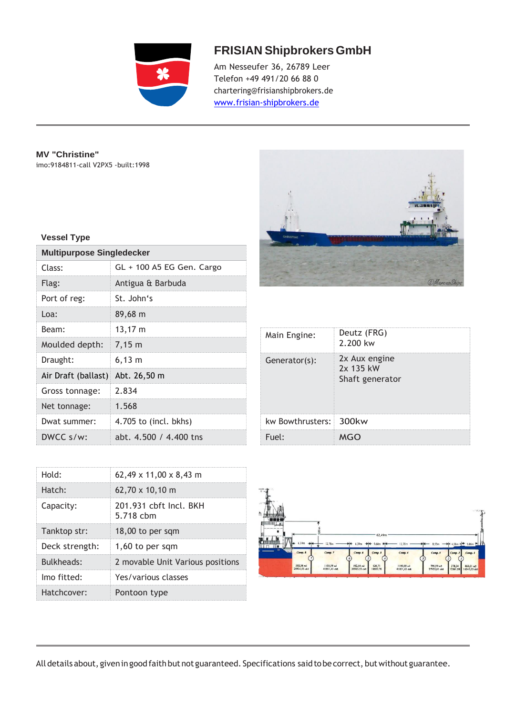

## **FRISIAN ShipbrokersGmbH**

Am Nesseufer 36, 26789 Leer Telefon +49 491/20 66 88 0 char[tering@frisianshipbrokers.de](mailto:ering@frisianshipbrokers.de) [www.frisian-shipbrokers.de](http://www.frisian-shipbrokers.de/)

**MV "Christine"** imo:9184811-call V2PX5 -built:1998

## **Vessel Type**

| <b>Multipurpose Singledecker</b> |                           |  |  |
|----------------------------------|---------------------------|--|--|
| Class:                           | GL + 100 A5 EG Gen. Cargo |  |  |
| Flag:                            | Antigua & Barbuda         |  |  |
| Port of reg:                     | St. John's                |  |  |
| Loa:                             | 89,68 m                   |  |  |
| Beam:                            | 13,17 m                   |  |  |
| Moulded depth:                   | $7,15 \; m$               |  |  |
| Draught:                         | $6,13 \; m$               |  |  |
| Air Draft (ballast)              | Abt. 26,50 m              |  |  |
| Gross tonnage:                   | 2.834                     |  |  |
| Net tonnage:                     | 1.568                     |  |  |
| Dwat summer:                     | 4.705 to (incl. bkhs)     |  |  |
| DWCC s/w:                        | abt. 4.500 / 4.400 tns    |  |  |

| CHRISTINE<br>$\bullet$ | <b>ILESSIT</b><br><b>Controlled Avenue D</b><br>77 |
|------------------------|----------------------------------------------------|
|                        | MarcusShips                                        |

| Main Engine:           | Deutz (FRG)<br>2.200 kw                       |
|------------------------|-----------------------------------------------|
| Generator(s):          | 2x Aux engine<br>2x 135 kW<br>Shaft generator |
| kw Bowthrusters: 300kw |                                               |
| Fuel:                  | MGO                                           |

| ÷.<br>$a - 1$                           |                             |                                                  |                             |                            |                                                  |
|-----------------------------------------|-----------------------------|--------------------------------------------------|-----------------------------|----------------------------|--------------------------------------------------|
| Ħ<br>ュ                                  |                             |                                                  |                             |                            | $-2.4$                                           |
|                                         |                             |                                                  |                             |                            |                                                  |
| <b>No</b><br>n mm<br>6.39m<br><b>Mo</b> | 12,78m                      | 62,49m<br>6.39m<br>5.68m<br>u                    | 12,78m                      | 8,53m                      | $+ 4.08m + 5.86m + \Box$                         |
| $\mathbf{u}$<br>Comp. 8                 | Comp. 7                     | Comp. 6<br>Comp. 5<br>ó                          | Comp. 4                     | Comp. 3                    | Comp.<br>Comp. I                                 |
| 592,54 m3<br>20925,55 obit<br>$-2.27$   | 1185,09 m3<br>41851,45 chft | 592,54 m3<br>526,71<br>18600.76<br>20925,55 cbft | 1185,09 m3<br>41851,45 cbft | 790,99 m3<br>27933,81 obft | 378,34<br>460,01 m3<br>13361,08<br>16245,23 cbft |

| Hold:          | $62,49 \times 11,00 \times 8,43 \text{ m}$ |
|----------------|--------------------------------------------|
| Hatch:         | $62,70 \times 10,10 \text{ m}$             |
| Capacity:      | 201.931 cbft Incl. BKH<br>5.718 chm        |
| Tanktop str:   | 18,00 to per sqm                           |
| Deck strength: | 1,60 to per sqm                            |
| Bulkheads:     | 2 movable Unit Various positions           |
| Imo fitted:    | Yes/various classes                        |
| Hatchcover:    | Pontoon type                               |

All details about, given in good faith but not guaranteed. Specifications said to be correct, but without guarantee.